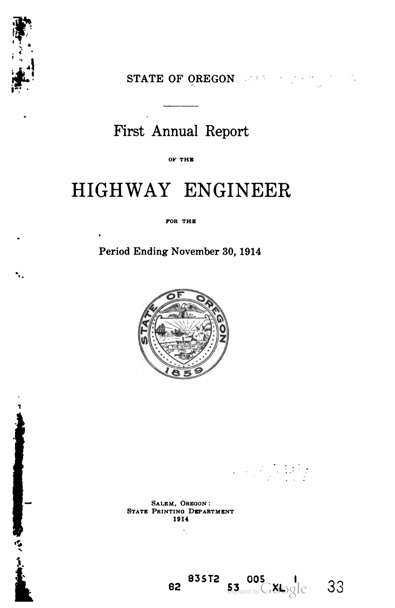

STATE OF OREGON NEWS ASSESSMENT RESERVE TO A RESIDENCE OF STRAIGHT AND RESIDENCE.

# First Annual Report

OF THE

# HIGHWAY ENGINEER

FOR THE

Period Ending November 30, 1914



**The Control** 

Salem, Oregon : State Printing Department 1914

ż,

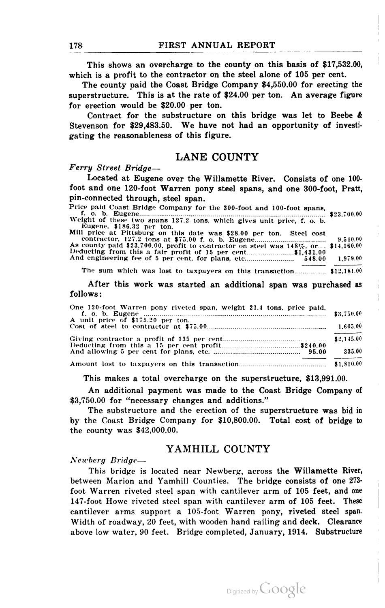This shows an overcharge to the county on this basis of \$17,532.00, which is a profit to the contractor on the steel alone of 105 per cent.

The county paid the Coast Bridge Company \$4,550.00 for erecting the superstructure. This is at the rate of \$24.00 per ton. An average figure for erection would be \$20.00 per ton.

Contract for the substructure on this bridge was let to Beebe  $\&$ Stevenson for \$29,483.50. We have not had an opportunity of investi gating the reasonableness of this figure.

## LANE COUNTY

#### Ferry Street Bridge—

Located at Eugene over the Willamette River. Consists of one 100 foot and one 120-foot Warren pony steel spans, and one 300-foot, Pratt, pin-connected through, steel span.<br>Price paid Coast Bridge Company for the 300-foot and 100-foot spans.

| Price paid Coast Bridge Company for the 300-foot and 100-foot spans.                                |  |  |  |  |  |  |
|-----------------------------------------------------------------------------------------------------|--|--|--|--|--|--|
| Weight of these two spans 127.2 tons, which gives unit price, f. o. b.<br>Eugene, \$186.32 per ton. |  |  |  |  |  |  |
| Mill price at Pittsburg on this date was \$28.00 per ton. Steel cost                                |  |  |  |  |  |  |

f. o. b. Eugene \$23,7<JiU>0 Weight of these two spans 127.:! tons, which gives unit price, f. o. b. Eugene. \$186. ."2 per ton. Mill price at Pittsburg on this date was \$28.00 per ton. Steel cost contractor. 127.2 tons at \$7."i.00 f. o. b. Eugene 9,5i0.00 As county paid \$23,700.00. profit to contractor on steel was 148%, or.... \$14,160.00 Deducting from tills <sup>a</sup> fair profit of <sup>15</sup> per cent \$1,431.00 And engineering fee of <sup>5</sup> per cent, for plans, etc 548.00 1,979.00

The sum which was lost to taxpayers on this transaction.................  $$12,181.00$ 

After this work was started an additional span was purchased as follows :

| One 120-foot Warren pony riveted span, weight 21.4 tons, price paid, |        |
|----------------------------------------------------------------------|--------|
| A unit price of \$175.20 per ton.                                    |        |
|                                                                      |        |
|                                                                      |        |
|                                                                      | 335.00 |
|                                                                      |        |

This makes a total overcharge on the superstructure, \$13,991.00.

An additional payment was made to the Coast Bridge Company of \$3,750.00 for "necessary changes and additions."

The substructure and the erection of the superstructure was bid in by the Coast Bridge Company for \$10,800.00. Total cost of bridge to the county was \$42,000.00.

### YAMHILL COUNTY

Newberg Bridge—

This bridge is located near Newberg, across the Willamette River, between Marion and Yamhill Counties. The bridge consists of one 273 foot Warren riveted steel span with cantilever arm of 105 feet, and one 147-foot Howe riveted steel span with cantilever arm of 105 feet. These cantilever arms support a 105-foot Warren pony, riveted steel span. Width of roadway, 20 feet, with wooden hand railing and deck. Clearance above low water, 90 feet. Bridge completed, January, 1914. Substructure

Digitized by Google